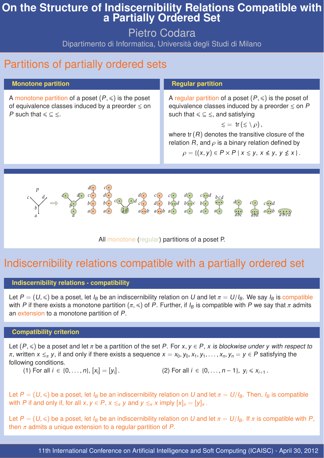# **On the Structure of Indiscernibility Relations Compatible with a Partially Ordered Set**

Pietro Codara

Dipartimento di Informatica, Università degli Studi di Milano

11th International Conference on Artificial Intelligence and Soft Computing (ICAISC) - April 30, 2012

# Partitions of partially ordered sets

#### **Monotone partition**

A monotone partition of a poset  $(P, \leq)$  is the poset of equivalence classes induced by a preorder  $\leq$  on P such that  $\leq \leq \leq$ .

#### **Regular partition**

A regular partition of a poset  $(P, \leq)$  is the poset of equivalence classes induced by a preorder  $\leq$  on P such that  $\leq \leq \leq$ , and satisfying

 $\leq$  = tr( $\leq \langle \rho \rangle$ ,

where  $tr(R)$  denotes the transitive closure of the relation R, and  $\rho$  is a binary relation defined by

 $\rho = \{(x, y) \in P \times P \mid x \leq y, x \notin y, y \nleq x \}.$ 

Let  $P=(U,\leqslant)$  be a poset, let  $I_B$  be an indiscernibility relation on U and let  $\pi=U/I_B$ . We say  $I_B$  is compatible with P if there exists a monotone partition ( $\pi,\leqslant$ ) of P. Further, if  $I_B$  is compatible with P we say that  $\pi$  admits an extension to a monotone partition of P.

Let  $(P, \leqslant)$  be a poset and let  $\pi$  be a partition of the set P. For  $x, y \in P$ , x is blockwise under y with respect to  $\pi$ , written  $x \leq_{\pi} y$ , if and only if there exists a sequence  $x = x_0, y_0, x_1, y_1, \ldots, x_n, y_n = y \in P$  satisfying the following conditions.



All monotone (regular) partitions of a poset P.

# Indiscernibility relations compatible with a partially ordered set

#### **Indiscernibility relations - compatibility**

### **Compatibility criterion**

(1) For all 
$$
i \in \{0, ..., n\}
$$
,  $[x_i] = [y_i]$ .  
(2) For all  $i \in \{0, ..., n-1\}$ ,  $y_i \le x_{i+1}$ .

Let  $P = (U, \leqslant)$  be a poset, let  $I_B$  be an indiscernibility relation on U and let  $\pi = U/I_B$ . Then,  $I_B$  is compatible with P if and only if, for all  $x, y \in P$ ,  $x \leq_{\pi} y$  and  $y \leq_{\pi} x$  imply  $[x]_{\pi} = [y]_{\pi}$ .

Let  $P = (U, \leqslant)$  be a poset, let  $I_B$  be an indiscernibility relation on U and let  $\pi = U/I_B$ . If  $\pi$  is compatible with P, then  $\pi$  admits a unique extension to a regular partition of P.